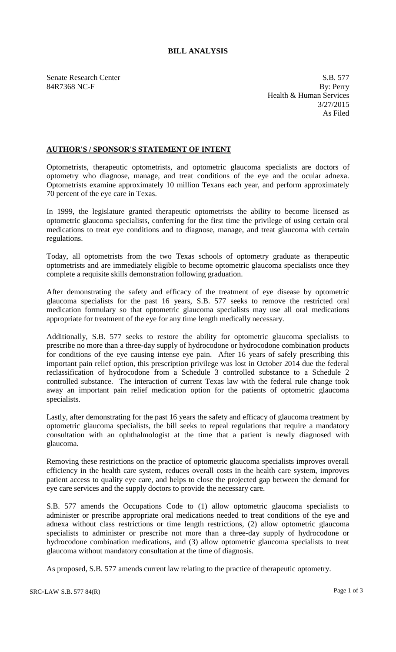## **BILL ANALYSIS**

Senate Research Center S.B. 577 84R7368 NC-F By: Perry Health & Human Services 3/27/2015 As Filed

## **AUTHOR'S / SPONSOR'S STATEMENT OF INTENT**

Optometrists, therapeutic optometrists, and optometric glaucoma specialists are doctors of optometry who diagnose, manage, and treat conditions of the eye and the ocular adnexa. Optometrists examine approximately 10 million Texans each year, and perform approximately 70 percent of the eye care in Texas.

In 1999, the legislature granted therapeutic optometrists the ability to become licensed as optometric glaucoma specialists, conferring for the first time the privilege of using certain oral medications to treat eye conditions and to diagnose, manage, and treat glaucoma with certain regulations.

Today, all optometrists from the two Texas schools of optometry graduate as therapeutic optometrists and are immediately eligible to become optometric glaucoma specialists once they complete a requisite skills demonstration following graduation.

After demonstrating the safety and efficacy of the treatment of eye disease by optometric glaucoma specialists for the past 16 years, S.B. 577 seeks to remove the restricted oral medication formulary so that optometric glaucoma specialists may use all oral medications appropriate for treatment of the eye for any time length medically necessary.

Additionally, S.B. 577 seeks to restore the ability for optometric glaucoma specialists to prescribe no more than a three-day supply of hydrocodone or hydrocodone combination products for conditions of the eye causing intense eye pain. After 16 years of safely prescribing this important pain relief option, this prescription privilege was lost in October 2014 due the federal reclassification of hydrocodone from a Schedule 3 controlled substance to a Schedule 2 controlled substance. The interaction of current Texas law with the federal rule change took away an important pain relief medication option for the patients of optometric glaucoma specialists.

Lastly, after demonstrating for the past 16 years the safety and efficacy of glaucoma treatment by optometric glaucoma specialists, the bill seeks to repeal regulations that require a mandatory consultation with an ophthalmologist at the time that a patient is newly diagnosed with glaucoma.

Removing these restrictions on the practice of optometric glaucoma specialists improves overall efficiency in the health care system, reduces overall costs in the health care system, improves patient access to quality eye care, and helps to close the projected gap between the demand for eye care services and the supply doctors to provide the necessary care.

S.B. 577 amends the Occupations Code to (1) allow optometric glaucoma specialists to administer or prescribe appropriate oral medications needed to treat conditions of the eye and adnexa without class restrictions or time length restrictions, (2) allow optometric glaucoma specialists to administer or prescribe not more than a three-day supply of hydrocodone or hydrocodone combination medications, and (3) allow optometric glaucoma specialists to treat glaucoma without mandatory consultation at the time of diagnosis.

As proposed, S.B. 577 amends current law relating to the practice of therapeutic optometry.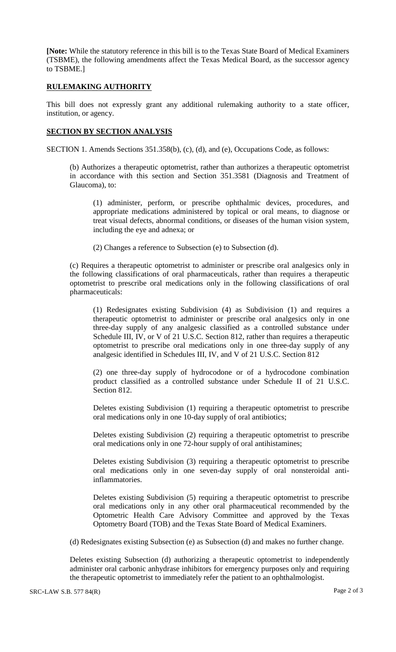**[Note:** While the statutory reference in this bill is to the Texas State Board of Medical Examiners (TSBME), the following amendments affect the Texas Medical Board, as the successor agency to TSBME.]

## **RULEMAKING AUTHORITY**

This bill does not expressly grant any additional rulemaking authority to a state officer, institution, or agency.

## **SECTION BY SECTION ANALYSIS**

SECTION 1. Amends Sections 351.358(b), (c), (d), and (e), Occupations Code, as follows:

(b) Authorizes a therapeutic optometrist, rather than authorizes a therapeutic optometrist in accordance with this section and Section 351.3581 (Diagnosis and Treatment of Glaucoma), to:

(1) administer, perform, or prescribe ophthalmic devices, procedures, and appropriate medications administered by topical or oral means, to diagnose or treat visual defects, abnormal conditions, or diseases of the human vision system, including the eye and adnexa; or

(2) Changes a reference to Subsection (e) to Subsection (d).

(c) Requires a therapeutic optometrist to administer or prescribe oral analgesics only in the following classifications of oral pharmaceuticals, rather than requires a therapeutic optometrist to prescribe oral medications only in the following classifications of oral pharmaceuticals:

(1) Redesignates existing Subdivision (4) as Subdivision (1) and requires a therapeutic optometrist to administer or prescribe oral analgesics only in one three-day supply of any analgesic classified as a controlled substance under Schedule III, IV, or V of 21 U.S.C. Section 812, rather than requires a therapeutic optometrist to prescribe oral medications only in one three-day supply of any analgesic identified in Schedules III, IV, and V of 21 U.S.C. Section 812

(2) one three-day supply of hydrocodone or of a hydrocodone combination product classified as a controlled substance under Schedule II of 21 U.S.C. Section 812.

Deletes existing Subdivision (1) requiring a therapeutic optometrist to prescribe oral medications only in one 10-day supply of oral antibiotics;

Deletes existing Subdivision (2) requiring a therapeutic optometrist to prescribe oral medications only in one 72-hour supply of oral antihistamines;

Deletes existing Subdivision (3) requiring a therapeutic optometrist to prescribe oral medications only in one seven-day supply of oral nonsteroidal antiinflammatories.

Deletes existing Subdivision (5) requiring a therapeutic optometrist to prescribe oral medications only in any other oral pharmaceutical recommended by the Optometric Health Care Advisory Committee and approved by the Texas Optometry Board (TOB) and the Texas State Board of Medical Examiners.

(d) Redesignates existing Subsection (e) as Subsection (d) and makes no further change.

Deletes existing Subsection (d) authorizing a therapeutic optometrist to independently administer oral carbonic anhydrase inhibitors for emergency purposes only and requiring the therapeutic optometrist to immediately refer the patient to an ophthalmologist.